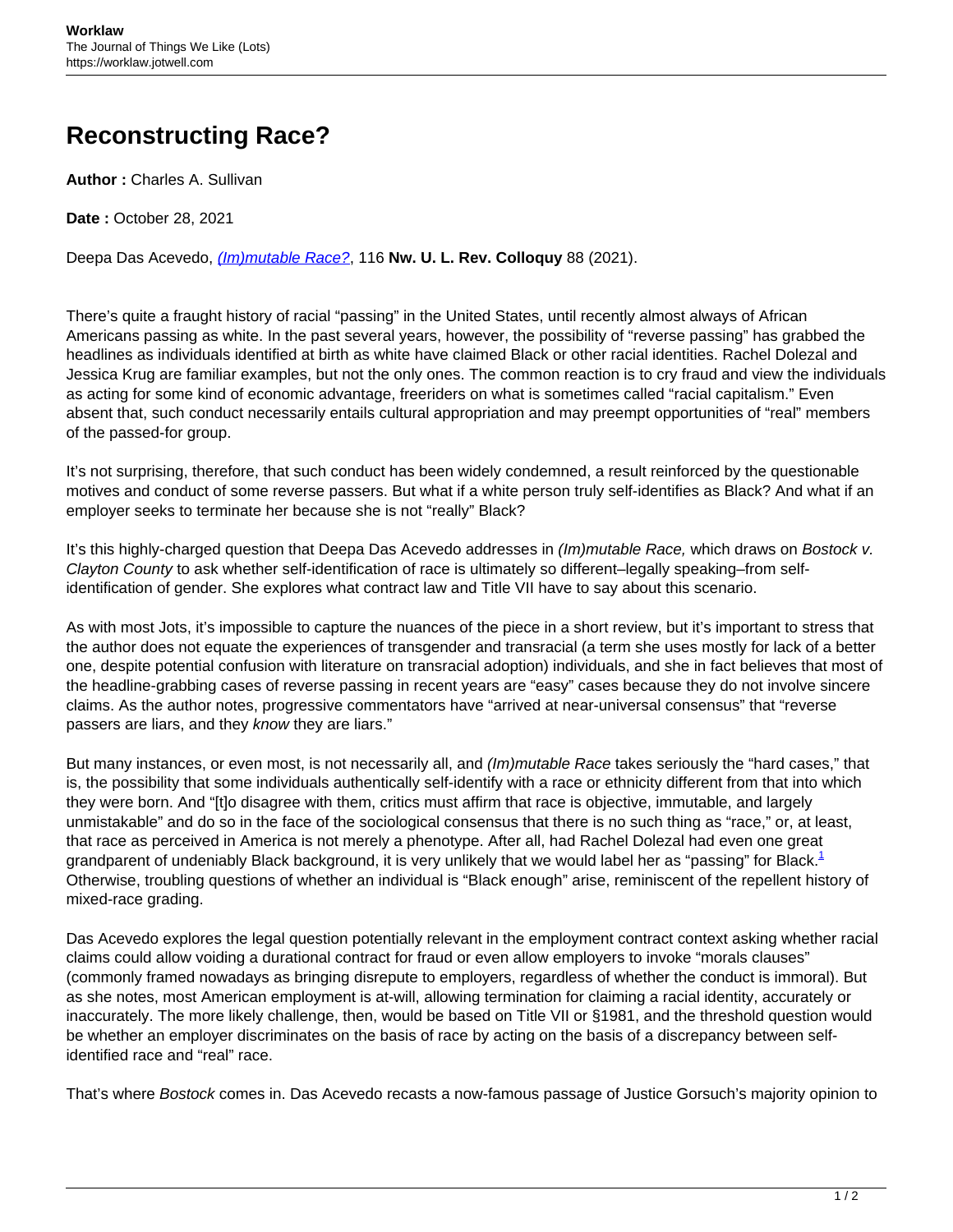## **Reconstructing Race?**

**Author :** Charles A. Sullivan

**Date :** October 28, 2021

Deepa Das Acevedo, [\(Im\)mutable Race?](https://scholarlycommons.law.northwestern.edu/cgi/viewcontent.cgi?article=1312&context=nulr_online), 116 **Nw. U. L. Rev. Colloquy** 88 (2021).

There's quite a fraught history of racial "passing" in the United States, until recently almost always of African Americans passing as white. In the past several years, however, the possibility of "reverse passing" has grabbed the headlines as individuals identified at birth as white have claimed Black or other racial identities. Rachel Dolezal and Jessica Krug are familiar examples, but not the only ones. The common reaction is to cry fraud and view the individuals as acting for some kind of economic advantage, freeriders on what is sometimes called "racial capitalism." Even absent that, such conduct necessarily entails cultural appropriation and may preempt opportunities of "real" members of the passed-for group.

It's not surprising, therefore, that such conduct has been widely condemned, a result reinforced by the questionable motives and conduct of some reverse passers. But what if a white person truly self-identifies as Black? And what if an employer seeks to terminate her because she is not "really" Black?

It's this highly-charged question that Deepa Das Acevedo addresses in (Im)mutable Race, which draws on Bostock v. Clayton County to ask whether self-identification of race is ultimately so different–legally speaking–from selfidentification of gender. She explores what contract law and Title VII have to say about this scenario.

As with most Jots, it's impossible to capture the nuances of the piece in a short review, but it's important to stress that the author does not equate the experiences of transgender and transracial (a term she uses mostly for lack of a better one, despite potential confusion with literature on transracial adoption) individuals, and she in fact believes that most of the headline-grabbing cases of reverse passing in recent years are "easy" cases because they do not involve sincere claims. As the author notes, progressive commentators have "arrived at near-universal consensus" that "reverse passers are liars, and they know they are liars."

But many instances, or even most, is not necessarily all, and (Im)mutable Race takes seriously the "hard cases," that is, the possibility that some individuals authentically self-identify with a race or ethnicity different from that into which they were born. And "[t]o disagree with them, critics must affirm that race is objective, immutable, and largely unmistakable" and do so in the face of the sociological consensus that there is no such thing as "race," or, at least, that race as perceived in America is not merely a phenotype. After all, had Rachel Dolezal had even one great grandparent of undeniably Black background, it is very unlikely that we would label her as "passing" for Black. $1$ Otherwise, troubling questions of whether an individual is "Black enough" arise, reminiscent of the repellent history of mixed-race grading.

Das Acevedo explores the legal question potentially relevant in the employment contract context asking whether racial claims could allow voiding a durational contract for fraud or even allow employers to invoke "morals clauses" (commonly framed nowadays as bringing disrepute to employers, regardless of whether the conduct is immoral). But as she notes, most American employment is at-will, allowing termination for claiming a racial identity, accurately or inaccurately. The more likely challenge, then, would be based on Title VII or §1981, and the threshold question would be whether an employer discriminates on the basis of race by acting on the basis of a discrepancy between selfidentified race and "real" race.

That's where Bostock comes in. Das Acevedo recasts a now-famous passage of Justice Gorsuch's majority opinion to